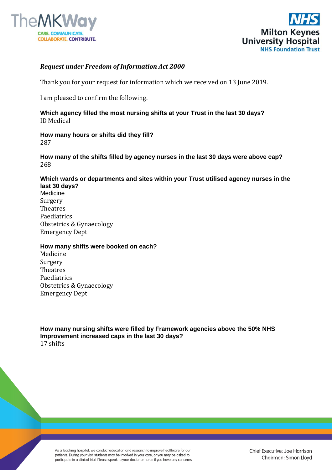



## *Request under Freedom of Information Act 2000*

Thank you for your request for information which we received on 13 June 2019.

I am pleased to confirm the following.

**Which agency filled the most nursing shifts at your Trust in the last 30 days?** ID Medical

**How many hours or shifts did they fill?**  287

**How many of the shifts filled by agency nurses in the last 30 days were above cap?** 268

**Which wards or departments and sites within your Trust utilised agency nurses in the last 30 days?**

Medicine Surgery Theatres Paediatrics Obstetrics & Gynaecology Emergency Dept

## **How many shifts were booked on each?**

Medicine Surgery Theatres Paediatrics Obstetrics & Gynaecology Emergency Dept

**How many nursing shifts were filled by Framework agencies above the 50% NHS Improvement increased caps in the last 30 days?** 17 shifts

As a teaching hospital, we conduct education and research to improve healthcare for our patients. During your visit students may be involved in your care, or you may be asked to participate in a clinical trial. Please speak to your doctor or nurse if you have any concerns.